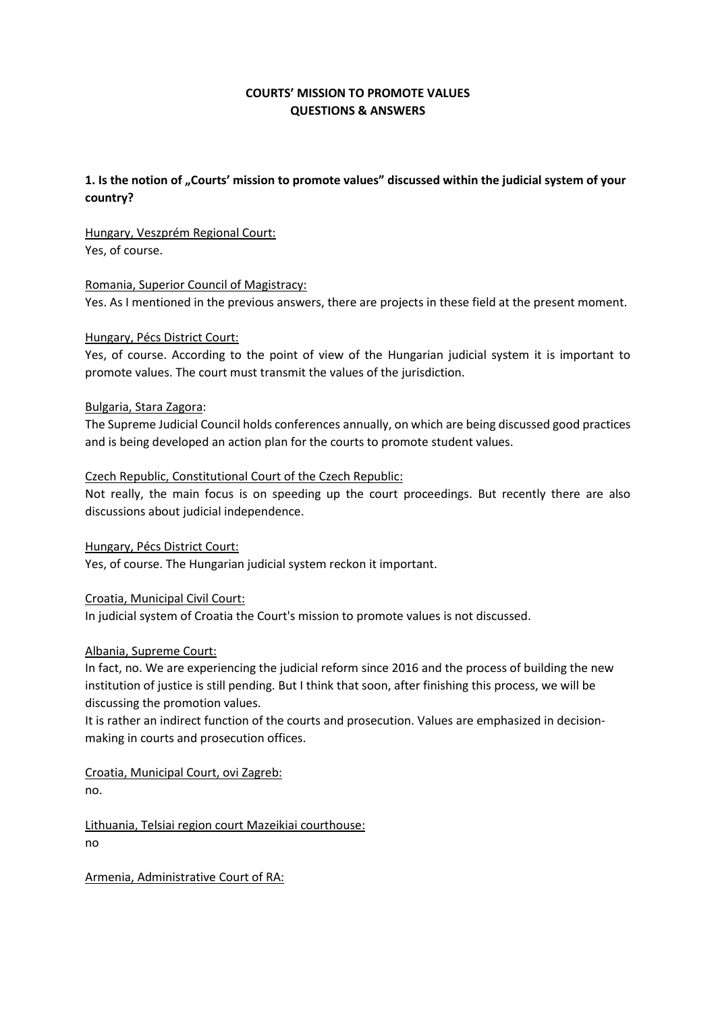# **COURTS' MISSION TO PROMOTE VALUES QUESTIONS & ANSWERS**

# **1. Is the notion of "Courts' mission to promote values" discussed within the judicial system of your country?**

Hungary, Veszprém Regional Court: Yes, of course.

#### Romania, Superior Council of Magistracy:

Yes. As I mentioned in the previous answers, there are projects in these field at the present moment.

#### Hungary, Pécs District Court:

Yes, of course. According to the point of view of the Hungarian judicial system it is important to promote values. The court must transmit the values of the jurisdiction.

#### Bulgaria, Stara Zagora:

The Supreme Judicial Council holds conferences annually, on which are being discussed good practices and is being developed an action plan for the courts to promote student values.

#### Czech Republic, Constitutional Court of the Czech Republic:

Not really, the main focus is on speeding up the court proceedings. But recently there are also discussions about judicial independence.

Hungary, Pécs District Court:

Yes, of course. The Hungarian judicial system reckon it important.

Croatia, Municipal Civil Court:

In judicial system of Croatia the Court's mission to promote values is not discussed.

### Albania, Supreme Court:

In fact, no. We are experiencing the judicial reform since 2016 and the process of building the new institution of justice is still pending. But I think that soon, after finishing this process, we will be discussing the promotion values.

It is rather an indirect function of the courts and prosecution. Values are emphasized in decisionmaking in courts and prosecution offices.

Croatia, Municipal Court, ovi Zagreb: no.

Lithuania, Telsiai region court Mazeikiai courthouse: no

Armenia, Administrative Court of RA: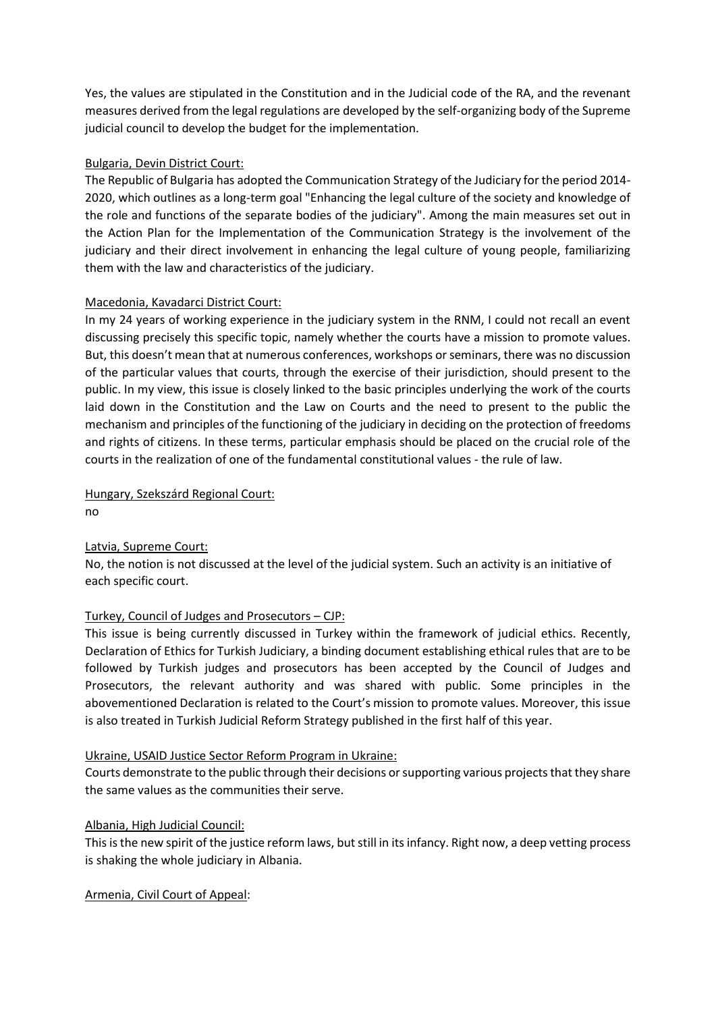Yes, the values are stipulated in the Constitution and in the Judicial code of the RA, and the revenant measures derived from the legal regulations are developed by the self-organizing body of the Supreme judicial council to develop the budget for the implementation.

### Bulgaria, Devin District Court:

The Republic of Bulgaria has adopted the Communication Strategy of the Judiciary for the period 2014- 2020, which outlines as a long-term goal "Enhancing the legal culture of the society and knowledge of the role and functions of the separate bodies of the judiciary". Among the main measures set out in the Action Plan for the Implementation of the Communication Strategy is the involvement of the judiciary and their direct involvement in enhancing the legal culture of young people, familiarizing them with the law and characteristics of the judiciary.

#### Macedonia, Kavadarci District Court:

In my 24 years of working experience in the judiciary system in the RNM, I could not recall an event discussing precisely this specific topic, namely whether the courts have a mission to promote values. But, this doesn't mean that at numerous conferences, workshops or seminars, there was no discussion of the particular values that courts, through the exercise of their jurisdiction, should present to the public. In my view, this issue is closely linked to the basic principles underlying the work of the courts laid down in the Constitution and the Law on Courts and the need to present to the public the mechanism and principles of the functioning of the judiciary in deciding on the protection of freedoms and rights of citizens. In these terms, particular emphasis should be placed on the crucial role of the courts in the realization of one of the fundamental constitutional values - the rule of law.

#### Hungary, Szekszárd Regional Court: no

### Latvia, Supreme Court:

No, the notion is not discussed at the level of the judicial system. Such an activity is an initiative of each specific court.

### Turkey, Council of Judges and Prosecutors – CJP:

This issue is being currently discussed in Turkey within the framework of judicial ethics. Recently, Declaration of Ethics for Turkish Judiciary, a binding document establishing ethical rules that are to be followed by Turkish judges and prosecutors has been accepted by the Council of Judges and Prosecutors, the relevant authority and was shared with public. Some principles in the abovementioned Declaration is related to the Court's mission to promote values. Moreover, this issue is also treated in Turkish Judicial Reform Strategy published in the first half of this year.

#### Ukraine, USAID Justice Sector Reform Program in Ukraine:

Courts demonstrate to the public through their decisions or supporting various projects that they share the same values as the communities their serve.

### Albania, High Judicial Council:

This is the new spirit of the justice reform laws, but still in its infancy. Right now, a deep vetting process is shaking the whole judiciary in Albania.

#### Armenia, Civil Court of Appeal: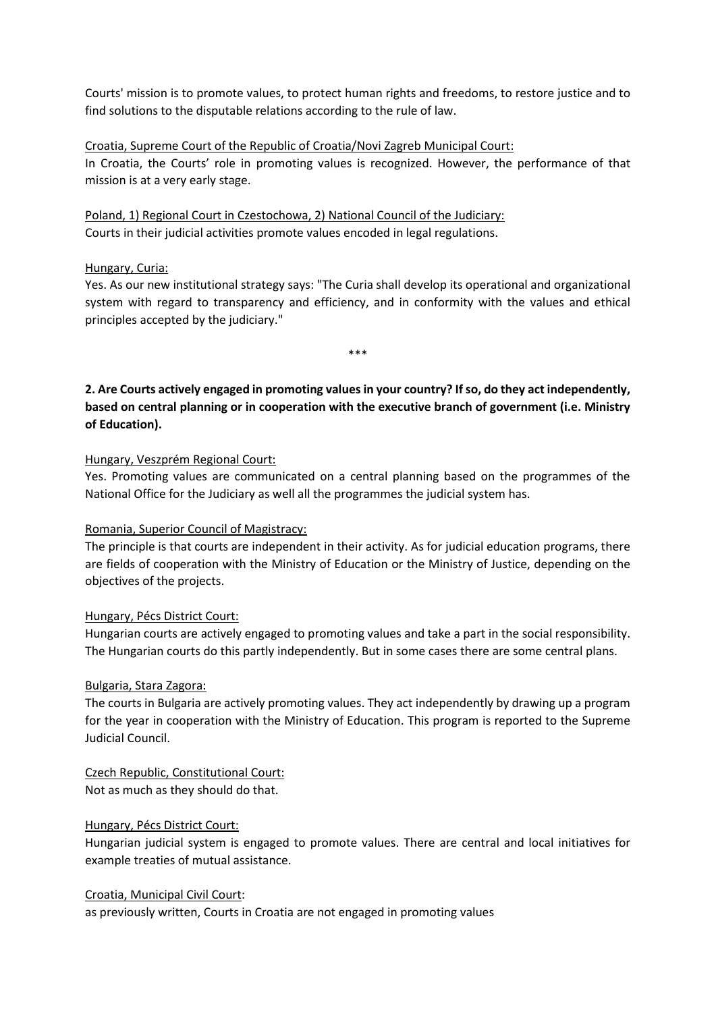Courts' mission is to promote values, to protect human rights and freedoms, to restore justice and to find solutions to the disputable relations according to the rule of law.

### Croatia, Supreme Court of the Republic of Croatia/Novi Zagreb Municipal Court:

In Croatia, the Courts' role in promoting values is recognized. However, the performance of that mission is at a very early stage.

Poland, 1) Regional Court in Czestochowa, 2) National Council of the Judiciary: Courts in their judicial activities promote values encoded in legal regulations.

### Hungary, Curia:

Yes. As our new institutional strategy says: "The Curia shall develop its operational and organizational system with regard to transparency and efficiency, and in conformity with the values and ethical principles accepted by the judiciary."

\*\*\*

**2. Are Courts actively engaged in promoting values in your country? If so, do they act independently, based on central planning or in cooperation with the executive branch of government (i.e. Ministry of Education).**

### Hungary, Veszprém Regional Court:

Yes. Promoting values are communicated on a central planning based on the programmes of the National Office for the Judiciary as well all the programmes the judicial system has.

### Romania, Superior Council of Magistracy:

The principle is that courts are independent in their activity. As for judicial education programs, there are fields of cooperation with the Ministry of Education or the Ministry of Justice, depending on the objectives of the projects.

#### Hungary, Pécs District Court:

Hungarian courts are actively engaged to promoting values and take a part in the social responsibility. The Hungarian courts do this partly independently. But in some cases there are some central plans.

#### Bulgaria, Stara Zagora:

The courts in Bulgaria are actively promoting values. They act independently by drawing up a program for the year in cooperation with the Ministry of Education. This program is reported to the Supreme Judicial Council.

Czech Republic, Constitutional Court: Not as much as they should do that.

### Hungary, Pécs District Court:

Hungarian judicial system is engaged to promote values. There are central and local initiatives for example treaties of mutual assistance.

#### Croatia, Municipal Civil Court:

as previously written, Courts in Croatia are not engaged in promoting values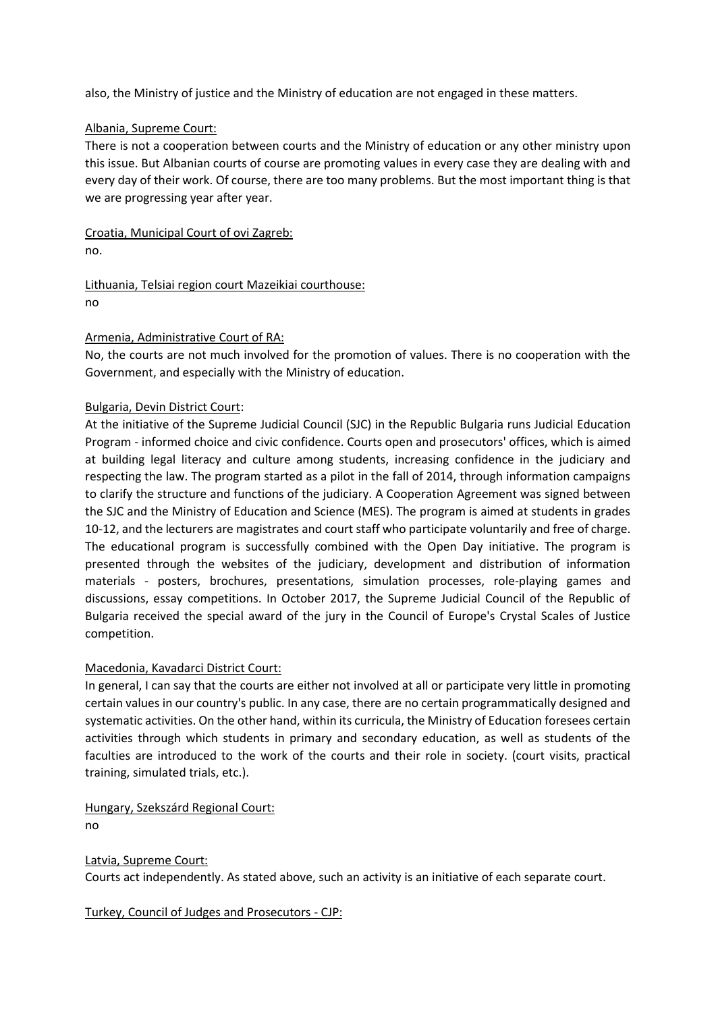also, the Ministry of justice and the Ministry of education are not engaged in these matters.

#### Albania, Supreme Court:

There is not a cooperation between courts and the Ministry of education or any other ministry upon this issue. But Albanian courts of course are promoting values in every case they are dealing with and every day of their work. Of course, there are too many problems. But the most important thing is that we are progressing year after year.

Croatia, Municipal Court of ovi Zagreb: no.

Lithuania, Telsiai region court Mazeikiai courthouse: no

#### Armenia, Administrative Court of RA:

No, the courts are not much involved for the promotion of values. There is no cooperation with the Government, and especially with the Ministry of education.

#### Bulgaria, Devin District Court:

At the initiative of the Supreme Judicial Council (SJC) in the Republic Bulgaria runs Judicial Education Program - informed choice and civic confidence. Courts open and prosecutors' offices, which is aimed at building legal literacy and culture among students, increasing confidence in the judiciary and respecting the law. The program started as a pilot in the fall of 2014, through information campaigns to clarify the structure and functions of the judiciary. A Cooperation Agreement was signed between the SJC and the Ministry of Education and Science (MES). The program is aimed at students in grades 10-12, and the lecturers are magistrates and court staff who participate voluntarily and free of charge. The educational program is successfully combined with the Open Day initiative. The program is presented through the websites of the judiciary, development and distribution of information materials - posters, brochures, presentations, simulation processes, role-playing games and discussions, essay competitions. In October 2017, the Supreme Judicial Council of the Republic of Bulgaria received the special award of the jury in the Council of Europe's Crystal Scales of Justice competition.

#### Macedonia, Kavadarci District Court:

In general, I can say that the courts are either not involved at all or participate very little in promoting certain values in our country's public. In any case, there are no certain programmatically designed and systematic activities. On the other hand, within its curricula, the Ministry of Education foresees certain activities through which students in primary and secondary education, as well as students of the faculties are introduced to the work of the courts and their role in society. (court visits, practical training, simulated trials, etc.).

Hungary, Szekszárd Regional Court: no

Latvia, Supreme Court: Courts act independently. As stated above, such an activity is an initiative of each separate court.

Turkey, Council of Judges and Prosecutors - CJP: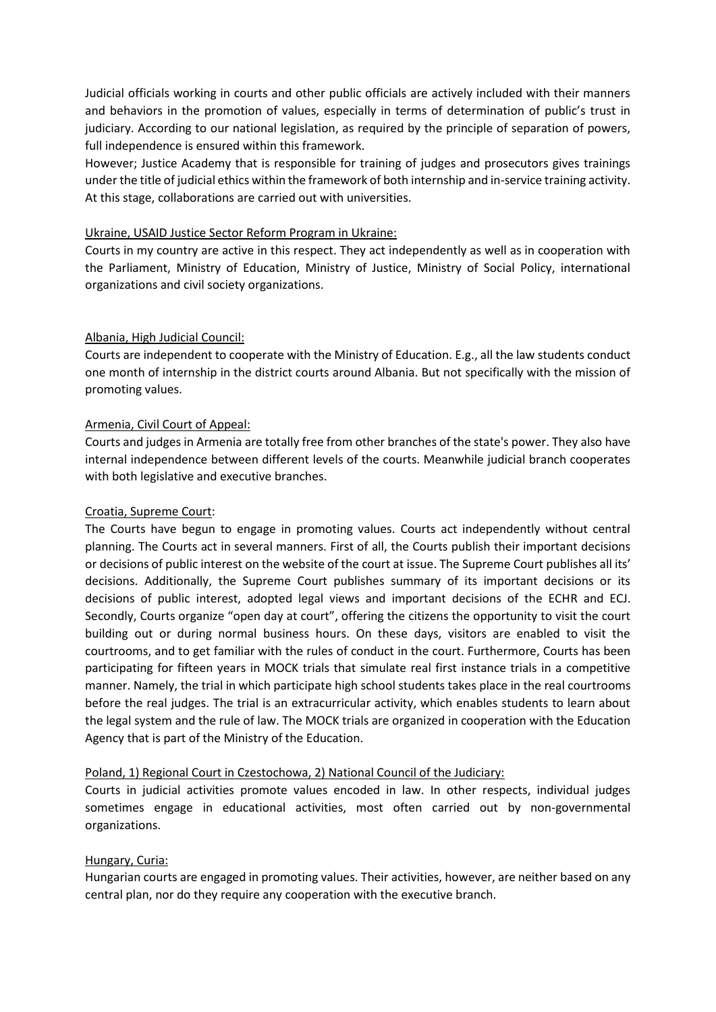Judicial officials working in courts and other public officials are actively included with their manners and behaviors in the promotion of values, especially in terms of determination of public's trust in judiciary. According to our national legislation, as required by the principle of separation of powers, full independence is ensured within this framework.

However; Justice Academy that is responsible for training of judges and prosecutors gives trainings under the title of judicial ethics within the framework of both internship and in-service training activity. At this stage, collaborations are carried out with universities.

#### Ukraine, USAID Justice Sector Reform Program in Ukraine:

Courts in my country are active in this respect. They act independently as well as in cooperation with the Parliament, Ministry of Education, Ministry of Justice, Ministry of Social Policy, international organizations and civil society organizations.

#### Albania, High Judicial Council:

Courts are independent to cooperate with the Ministry of Education. E.g., all the law students conduct one month of internship in the district courts around Albania. But not specifically with the mission of promoting values.

#### Armenia, Civil Court of Appeal:

Courts and judges in Armenia are totally free from other branches of the state's power. They also have internal independence between different levels of the courts. Meanwhile judicial branch cooperates with both legislative and executive branches.

### Croatia, Supreme Court:

The Courts have begun to engage in promoting values. Courts act independently without central planning. The Courts act in several manners. First of all, the Courts publish their important decisions or decisions of public interest on the website of the court at issue. The Supreme Court publishes all its' decisions. Additionally, the Supreme Court publishes summary of its important decisions or its decisions of public interest, adopted legal views and important decisions of the ECHR and ECJ. Secondly, Courts organize "open day at court", offering the citizens the opportunity to visit the court building out or during normal business hours. On these days, visitors are enabled to visit the courtrooms, and to get familiar with the rules of conduct in the court. Furthermore, Courts has been participating for fifteen years in MOCK trials that simulate real first instance trials in a competitive manner. Namely, the trial in which participate high school students takes place in the real courtrooms before the real judges. The trial is an extracurricular activity, which enables students to learn about the legal system and the rule of law. The MOCK trials are organized in cooperation with the Education Agency that is part of the Ministry of the Education.

### Poland, 1) Regional Court in Czestochowa, 2) National Council of the Judiciary:

Courts in judicial activities promote values encoded in law. In other respects, individual judges sometimes engage in educational activities, most often carried out by non-governmental organizations.

### Hungary, Curia:

Hungarian courts are engaged in promoting values. Their activities, however, are neither based on any central plan, nor do they require any cooperation with the executive branch.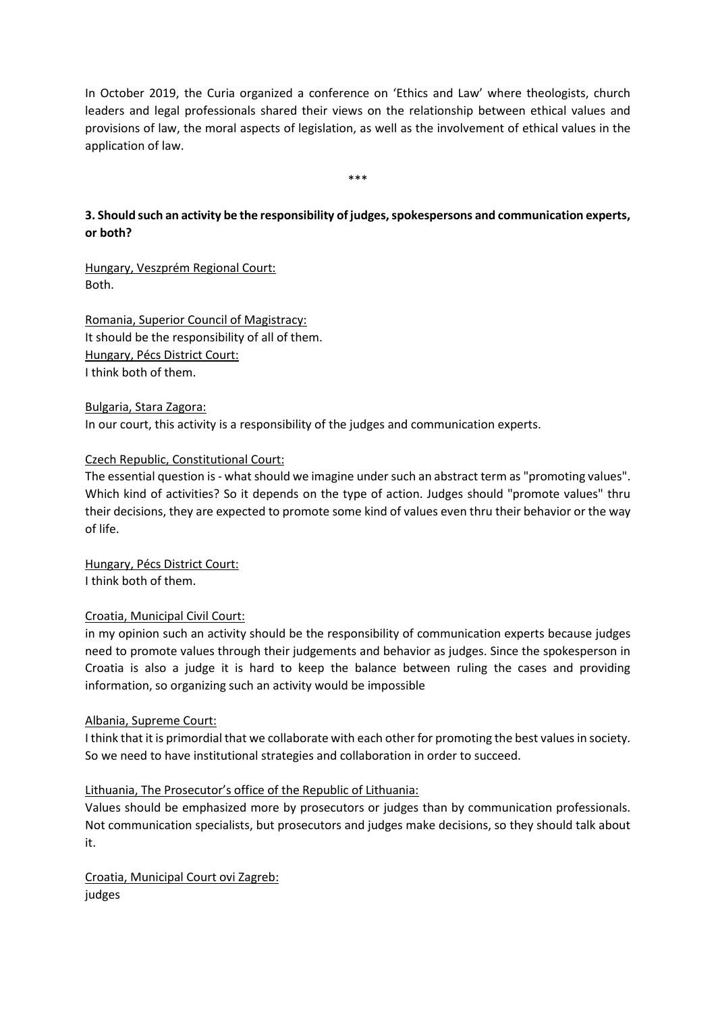In October 2019, the Curia organized a conference on 'Ethics and Law' where theologists, church leaders and legal professionals shared their views on the relationship between ethical values and provisions of law, the moral aspects of legislation, as well as the involvement of ethical values in the application of law.

\*\*\*

# **3. Should such an activity be the responsibility of judges, spokespersons and communication experts, or both?**

Hungary, Veszprém Regional Court: Both.

Romania, Superior Council of Magistracy: It should be the responsibility of all of them. Hungary, Pécs District Court: I think both of them.

Bulgaria, Stara Zagora: In our court, this activity is a responsibility of the judges and communication experts.

#### Czech Republic, Constitutional Court:

The essential question is - what should we imagine under such an abstract term as "promoting values". Which kind of activities? So it depends on the type of action. Judges should "promote values" thru their decisions, they are expected to promote some kind of values even thru their behavior or the way of life.

Hungary, Pécs District Court: I think both of them.

### Croatia, Municipal Civil Court:

in my opinion such an activity should be the responsibility of communication experts because judges need to promote values through their judgements and behavior as judges. Since the spokesperson in Croatia is also a judge it is hard to keep the balance between ruling the cases and providing information, so organizing such an activity would be impossible

#### Albania, Supreme Court:

I think that it is primordial that we collaborate with each other for promoting the best values in society. So we need to have institutional strategies and collaboration in order to succeed.

#### Lithuania, The Prosecutor's office of the Republic of Lithuania:

Values should be emphasized more by prosecutors or judges than by communication professionals. Not communication specialists, but prosecutors and judges make decisions, so they should talk about it.

Croatia, Municipal Court ovi Zagreb: judges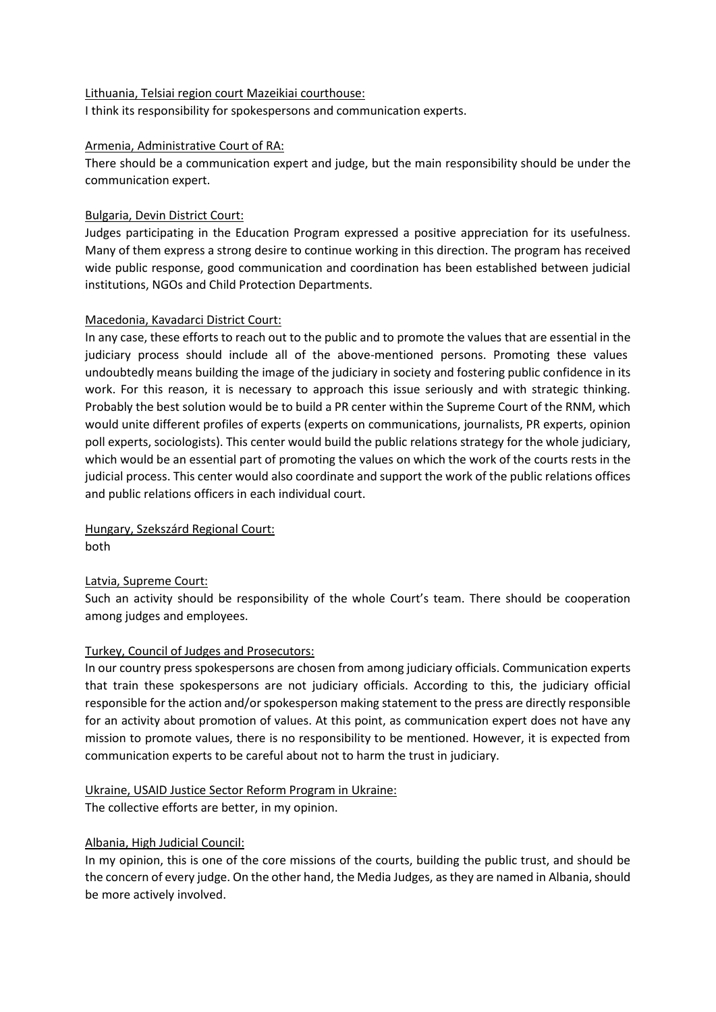#### Lithuania, Telsiai region court Mazeikiai courthouse:

I think its responsibility for spokespersons and communication experts.

#### Armenia, Administrative Court of RA:

There should be a communication expert and judge, but the main responsibility should be under the communication expert.

#### Bulgaria, Devin District Court:

Judges participating in the Education Program expressed a positive appreciation for its usefulness. Many of them express a strong desire to continue working in this direction. The program has received wide public response, good communication and coordination has been established between judicial institutions, NGOs and Child Protection Departments.

#### Macedonia, Kavadarci District Court:

In any case, these efforts to reach out to the public and to promote the values that are essential in the judiciary process should include all of the above-mentioned persons. Promoting these values undoubtedly means building the image of the judiciary in society and fostering public confidence in its work. For this reason, it is necessary to approach this issue seriously and with strategic thinking. Probably the best solution would be to build a PR center within the Supreme Court of the RNM, which would unite different profiles of experts (experts on communications, journalists, PR experts, opinion poll experts, sociologists). This center would build the public relations strategy for the whole judiciary, which would be an essential part of promoting the values on which the work of the courts rests in the judicial process. This center would also coordinate and support the work of the public relations offices and public relations officers in each individual court.

Hungary, Szekszárd Regional Court: both

#### Latvia, Supreme Court:

Such an activity should be responsibility of the whole Court's team. There should be cooperation among judges and employees.

#### Turkey, Council of Judges and Prosecutors:

In our country press spokespersons are chosen from among judiciary officials. Communication experts that train these spokespersons are not judiciary officials. According to this, the judiciary official responsible for the action and/or spokesperson making statement to the press are directly responsible for an activity about promotion of values. At this point, as communication expert does not have any mission to promote values, there is no responsibility to be mentioned. However, it is expected from communication experts to be careful about not to harm the trust in judiciary.

# Ukraine, USAID Justice Sector Reform Program in Ukraine:

The collective efforts are better, in my opinion.

#### Albania, High Judicial Council:

In my opinion, this is one of the core missions of the courts, building the public trust, and should be the concern of every judge. On the other hand, the Media Judges, as they are named in Albania, should be more actively involved.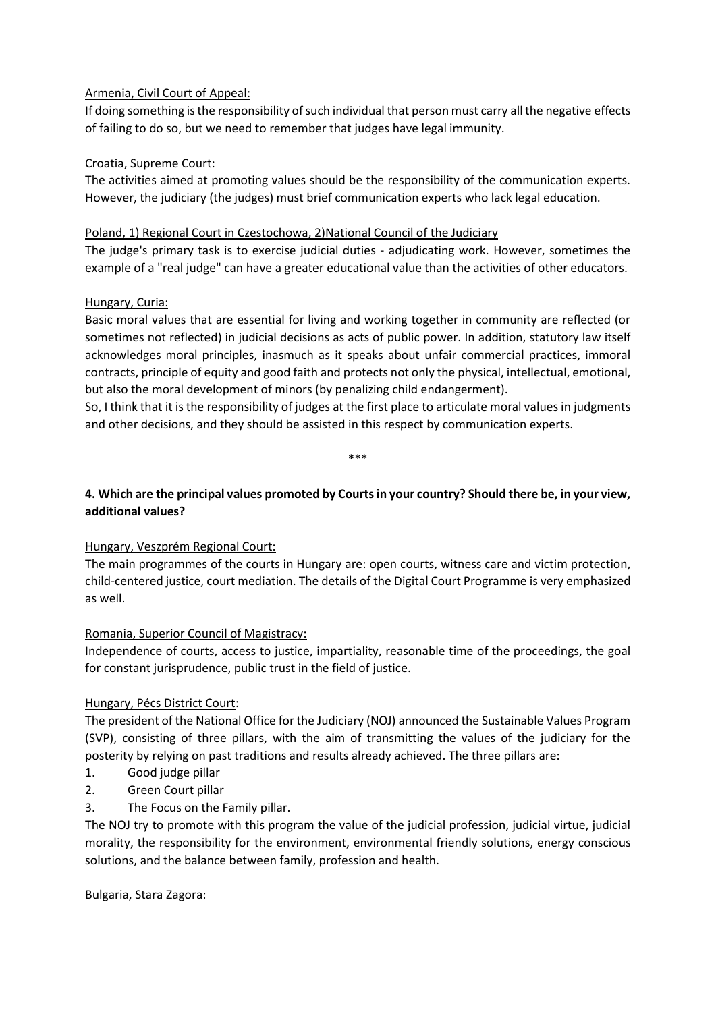# Armenia, Civil Court of Appeal:

If doing something is the responsibility of such individual that person must carry all the negative effects of failing to do so, but we need to remember that judges have legal immunity.

### Croatia, Supreme Court:

The activities aimed at promoting values should be the responsibility of the communication experts. However, the judiciary (the judges) must brief communication experts who lack legal education.

### Poland, 1) Regional Court in Czestochowa, 2)National Council of the Judiciary

The judge's primary task is to exercise judicial duties - adjudicating work. However, sometimes the example of a "real judge" can have a greater educational value than the activities of other educators.

# Hungary, Curia:

Basic moral values that are essential for living and working together in community are reflected (or sometimes not reflected) in judicial decisions as acts of public power. In addition, statutory law itself acknowledges moral principles, inasmuch as it speaks about unfair commercial practices, immoral contracts, principle of equity and good faith and protects not only the physical, intellectual, emotional, but also the moral development of minors (by penalizing child endangerment).

So, I think that it is the responsibility of judges at the first place to articulate moral values in judgments and other decisions, and they should be assisted in this respect by communication experts.

\*\*\*

# **4. Which are the principal values promoted by Courts in your country? Should there be, in your view, additional values?**

### Hungary, Veszprém Regional Court:

The main programmes of the courts in Hungary are: open courts, witness care and victim protection, child-centered justice, court mediation. The details of the Digital Court Programme is very emphasized as well.

### Romania, Superior Council of Magistracy:

Independence of courts, access to justice, impartiality, reasonable time of the proceedings, the goal for constant jurisprudence, public trust in the field of justice.

### Hungary, Pécs District Court:

The president of the National Office for the Judiciary (NOJ) announced the Sustainable Values Program (SVP), consisting of three pillars, with the aim of transmitting the values of the judiciary for the posterity by relying on past traditions and results already achieved. The three pillars are:

- 1. Good judge pillar
- 2. Green Court pillar
- 3. The Focus on the Family pillar.

The NOJ try to promote with this program the value of the judicial profession, judicial virtue, judicial morality, the responsibility for the environment, environmental friendly solutions, energy conscious solutions, and the balance between family, profession and health.

### Bulgaria, Stara Zagora: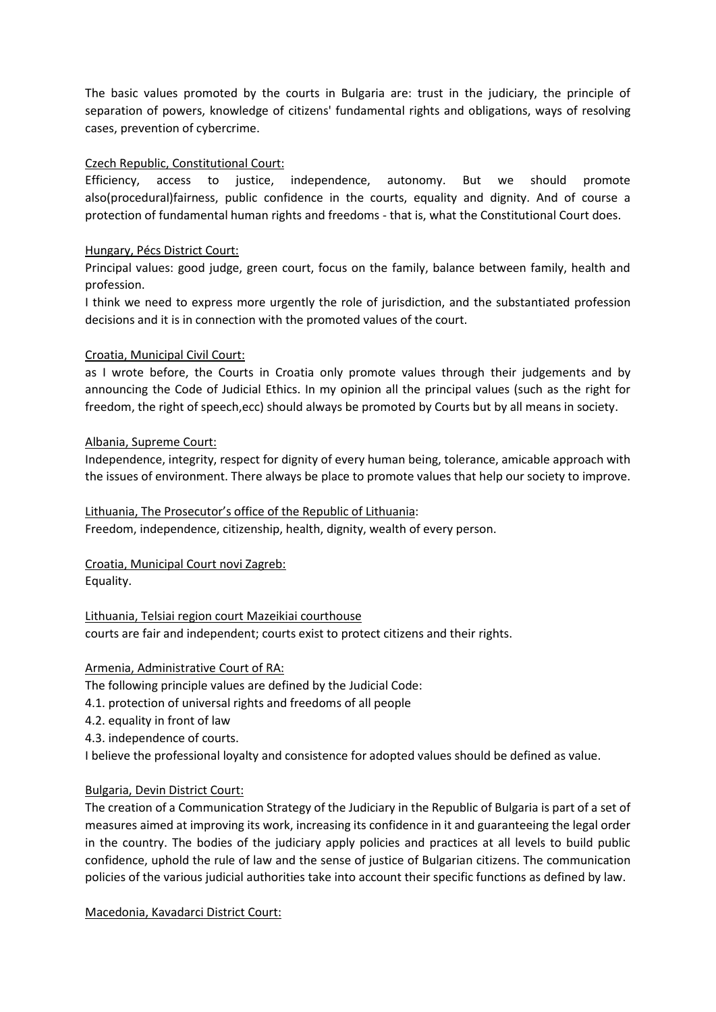The basic values promoted by the courts in Bulgaria are: trust in the judiciary, the principle of separation of powers, knowledge of citizens' fundamental rights and obligations, ways of resolving cases, prevention of cybercrime.

#### Czech Republic, Constitutional Court:

Efficiency, access to justice, independence, autonomy. But we should promote also(procedural)fairness, public confidence in the courts, equality and dignity. And of course a protection of fundamental human rights and freedoms - that is, what the Constitutional Court does.

### Hungary, Pécs District Court:

Principal values: good judge, green court, focus on the family, balance between family, health and profession.

I think we need to express more urgently the role of jurisdiction, and the substantiated profession decisions and it is in connection with the promoted values of the court.

#### Croatia, Municipal Civil Court:

as I wrote before, the Courts in Croatia only promote values through their judgements and by announcing the Code of Judicial Ethics. In my opinion all the principal values (such as the right for freedom, the right of speech,ecc) should always be promoted by Courts but by all means in society.

#### Albania, Supreme Court:

Independence, integrity, respect for dignity of every human being, tolerance, amicable approach with the issues of environment. There always be place to promote values that help our society to improve.

#### Lithuania, The Prosecutor's office of the Republic of Lithuania:

Freedom, independence, citizenship, health, dignity, wealth of every person.

Croatia, Municipal Court novi Zagreb: Equality.

Lithuania, Telsiai region court Mazeikiai courthouse courts are fair and independent; courts exist to protect citizens and their rights.

#### Armenia, Administrative Court of RA:

The following principle values are defined by the Judicial Code:

- 4.1. protection of universal rights and freedoms of all people
- 4.2. equality in front of law

4.3. independence of courts.

I believe the professional loyalty and consistence for adopted values should be defined as value.

### Bulgaria, Devin District Court:

The creation of a Communication Strategy of the Judiciary in the Republic of Bulgaria is part of a set of measures aimed at improving its work, increasing its confidence in it and guaranteeing the legal order in the country. The bodies of the judiciary apply policies and practices at all levels to build public confidence, uphold the rule of law and the sense of justice of Bulgarian citizens. The communication policies of the various judicial authorities take into account their specific functions as defined by law.

Macedonia, Kavadarci District Court: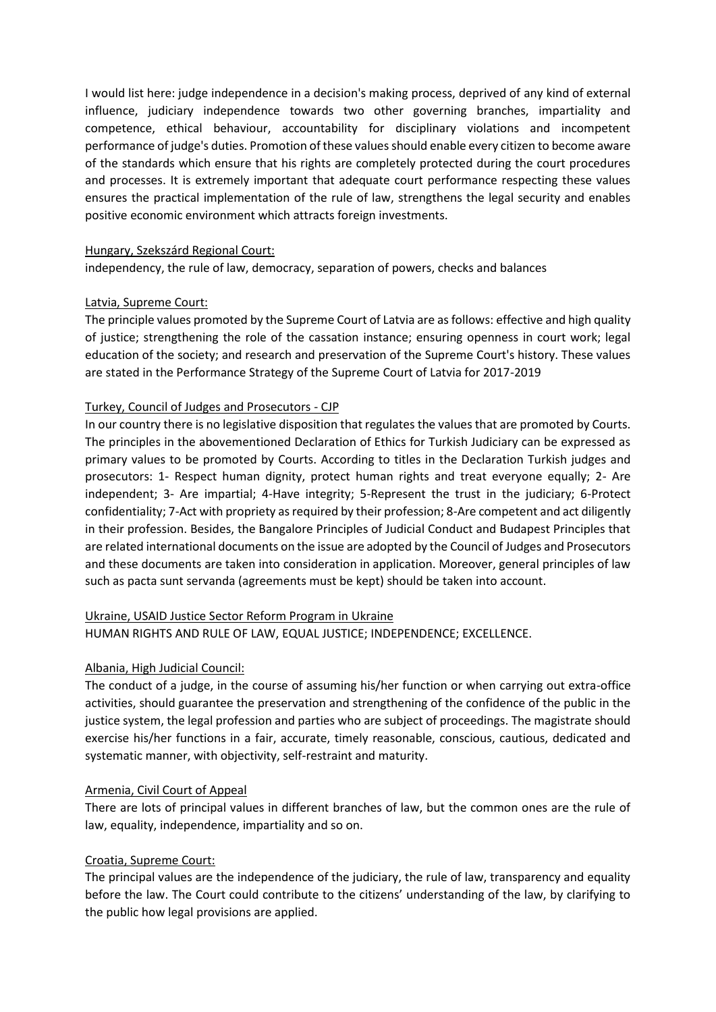I would list here: judge independence in a decision's making process, deprived of any kind of external influence, judiciary independence towards two other governing branches, impartiality and competence, ethical behaviour, accountability for disciplinary violations and incompetent performance of judge's duties. Promotion of these values should enable every citizen to become aware of the standards which ensure that his rights are completely protected during the court procedures and processes. It is extremely important that adequate court performance respecting these values ensures the practical implementation of the rule of law, strengthens the legal security and enables positive economic environment which attracts foreign investments.

#### Hungary, Szekszárd Regional Court:

independency, the rule of law, democracy, separation of powers, checks and balances

#### Latvia, Supreme Court:

The principle values promoted by the Supreme Court of Latvia are as follows: effective and high quality of justice; strengthening the role of the cassation instance; ensuring openness in court work; legal education of the society; and research and preservation of the Supreme Court's history. These values are stated in the Performance Strategy of the Supreme Court of Latvia for 2017-2019

#### Turkey, Council of Judges and Prosecutors - CJP

In our country there is no legislative disposition that regulates the values that are promoted by Courts. The principles in the abovementioned Declaration of Ethics for Turkish Judiciary can be expressed as primary values to be promoted by Courts. According to titles in the Declaration Turkish judges and prosecutors: 1- Respect human dignity, protect human rights and treat everyone equally; 2- Are independent; 3- Are impartial; 4-Have integrity; 5-Represent the trust in the judiciary; 6-Protect confidentiality; 7-Act with propriety as required by their profession; 8-Are competent and act diligently in their profession. Besides, the Bangalore Principles of Judicial Conduct and Budapest Principles that are related international documents on the issue are adopted by the Council of Judges and Prosecutors and these documents are taken into consideration in application. Moreover, general principles of law such as pacta sunt servanda (agreements must be kept) should be taken into account.

### Ukraine, USAID Justice Sector Reform Program in Ukraine

HUMAN RIGHTS AND RULE OF LAW, EQUAL JUSTICE; INDEPENDENCE; EXCELLENCE.

### Albania, High Judicial Council:

The conduct of a judge, in the course of assuming his/her function or when carrying out extra-office activities, should guarantee the preservation and strengthening of the confidence of the public in the justice system, the legal profession and parties who are subject of proceedings. The magistrate should exercise his/her functions in a fair, accurate, timely reasonable, conscious, cautious, dedicated and systematic manner, with objectivity, self-restraint and maturity.

#### Armenia, Civil Court of Appeal

There are lots of principal values in different branches of law, but the common ones are the rule of law, equality, independence, impartiality and so on.

### Croatia, Supreme Court:

The principal values are the independence of the judiciary, the rule of law, transparency and equality before the law. The Court could contribute to the citizens' understanding of the law, by clarifying to the public how legal provisions are applied.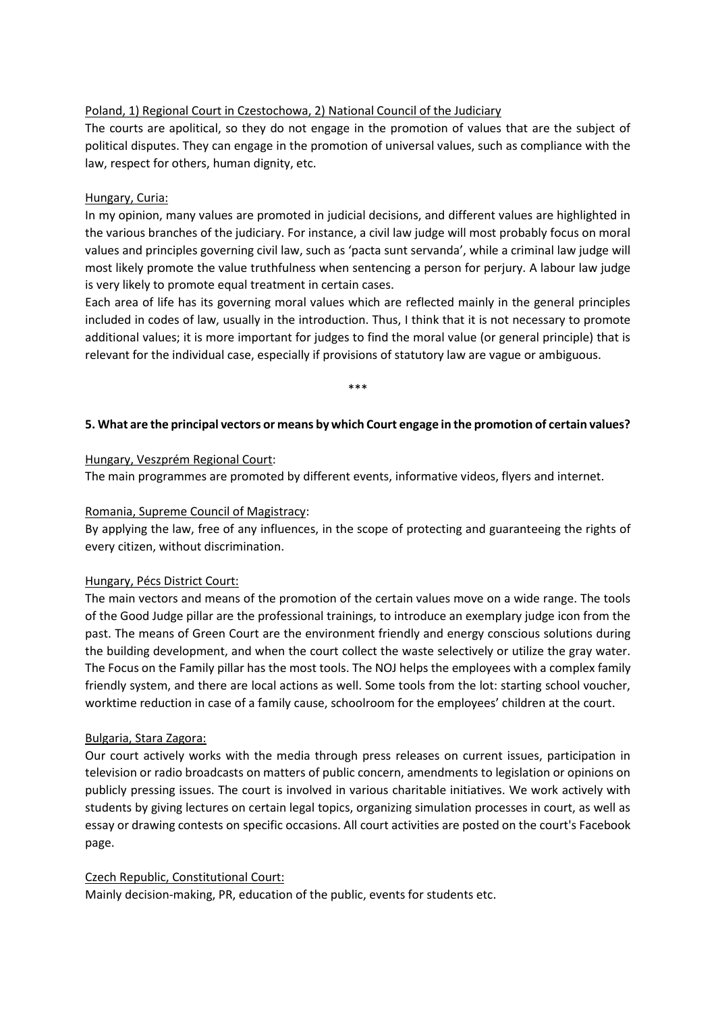### Poland, 1) Regional Court in Czestochowa, 2) National Council of the Judiciary

The courts are apolitical, so they do not engage in the promotion of values that are the subject of political disputes. They can engage in the promotion of universal values, such as compliance with the law, respect for others, human dignity, etc.

#### Hungary, Curia:

In my opinion, many values are promoted in judicial decisions, and different values are highlighted in the various branches of the judiciary. For instance, a civil law judge will most probably focus on moral values and principles governing civil law, such as 'pacta sunt servanda', while a criminal law judge will most likely promote the value truthfulness when sentencing a person for perjury. A labour law judge is very likely to promote equal treatment in certain cases.

Each area of life has its governing moral values which are reflected mainly in the general principles included in codes of law, usually in the introduction. Thus, I think that it is not necessary to promote additional values; it is more important for judges to find the moral value (or general principle) that is relevant for the individual case, especially if provisions of statutory law are vague or ambiguous.

\*\*\*

#### **5. What are the principal vectors or means by which Court engage in the promotion of certain values?**

#### Hungary, Veszprém Regional Court:

The main programmes are promoted by different events, informative videos, flyers and internet.

#### Romania, Supreme Council of Magistracy:

By applying the law, free of any influences, in the scope of protecting and guaranteeing the rights of every citizen, without discrimination.

#### Hungary, Pécs District Court:

The main vectors and means of the promotion of the certain values move on a wide range. The tools of the Good Judge pillar are the professional trainings, to introduce an exemplary judge icon from the past. The means of Green Court are the environment friendly and energy conscious solutions during the building development, and when the court collect the waste selectively or utilize the gray water. The Focus on the Family pillar has the most tools. The NOJ helps the employees with a complex family friendly system, and there are local actions as well. Some tools from the lot: starting school voucher, worktime reduction in case of a family cause, schoolroom for the employees' children at the court.

### Bulgaria, Stara Zagora:

Our court actively works with the media through press releases on current issues, participation in television or radio broadcasts on matters of public concern, amendments to legislation or opinions on publicly pressing issues. The court is involved in various charitable initiatives. We work actively with students by giving lectures on certain legal topics, organizing simulation processes in court, as well as essay or drawing contests on specific occasions. All court activities are posted on the court's Facebook page.

### Czech Republic, Constitutional Court:

Mainly decision-making, PR, education of the public, events for students etc.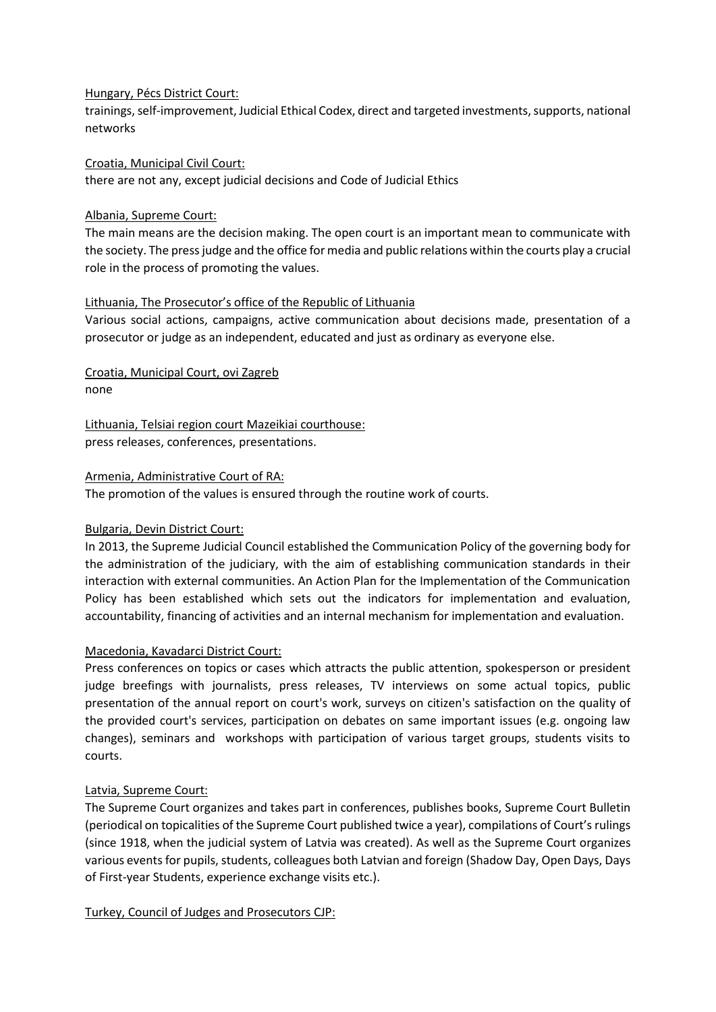#### Hungary, Pécs District Court:

trainings, self-improvement, Judicial Ethical Codex, direct and targeted investments, supports, national networks

Croatia, Municipal Civil Court: there are not any, except judicial decisions and Code of Judicial Ethics

#### Albania, Supreme Court:

The main means are the decision making. The open court is an important mean to communicate with the society. The press judge and the office for media and public relations within the courts play a crucial role in the process of promoting the values.

### Lithuania, The Prosecutor's office of the Republic of Lithuania

Various social actions, campaigns, active communication about decisions made, presentation of a prosecutor or judge as an independent, educated and just as ordinary as everyone else.

Croatia, Municipal Court, ovi Zagreb none

Lithuania, Telsiai region court Mazeikiai courthouse: press releases, conferences, presentations.

#### Armenia, Administrative Court of RA:

The promotion of the values is ensured through the routine work of courts.

### Bulgaria, Devin District Court:

In 2013, the Supreme Judicial Council established the Communication Policy of the governing body for the administration of the judiciary, with the aim of establishing communication standards in their interaction with external communities. An Action Plan for the Implementation of the Communication Policy has been established which sets out the indicators for implementation and evaluation, accountability, financing of activities and an internal mechanism for implementation and evaluation.

### Macedonia, Kavadarci District Court:

Press conferences on topics or cases which attracts the public attention, spokesperson or president judge breefings with journalists, press releases, TV interviews on some actual topics, public presentation of the annual report on court's work, surveys on citizen's satisfaction on the quality of the provided court's services, participation on debates on same important issues (e.g. ongoing law changes), seminars and workshops with participation of various target groups, students visits to courts.

### Latvia, Supreme Court:

The Supreme Court organizes and takes part in conferences, publishes books, Supreme Court Bulletin (periodical on topicalities of the Supreme Court published twice a year), compilations of Court's rulings (since 1918, when the judicial system of Latvia was created). As well as the Supreme Court organizes various events for pupils, students, colleagues both Latvian and foreign (Shadow Day, Open Days, Days of First-year Students, experience exchange visits etc.).

Turkey, Council of Judges and Prosecutors CJP: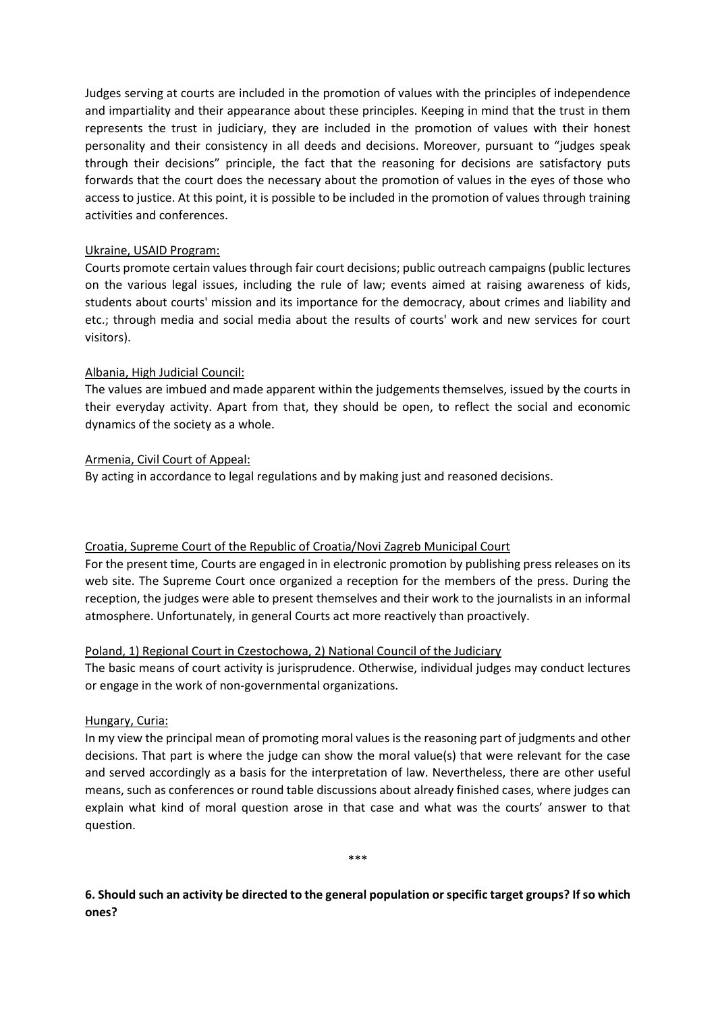Judges serving at courts are included in the promotion of values with the principles of independence and impartiality and their appearance about these principles. Keeping in mind that the trust in them represents the trust in judiciary, they are included in the promotion of values with their honest personality and their consistency in all deeds and decisions. Moreover, pursuant to "judges speak through their decisions" principle, the fact that the reasoning for decisions are satisfactory puts forwards that the court does the necessary about the promotion of values in the eyes of those who access to justice. At this point, it is possible to be included in the promotion of values through training activities and conferences.

### Ukraine, USAID Program:

Courts promote certain values through fair court decisions; public outreach campaigns (public lectures on the various legal issues, including the rule of law; events aimed at raising awareness of kids, students about courts' mission and its importance for the democracy, about crimes and liability and etc.; through media and social media about the results of courts' work and new services for court visitors).

### Albania, High Judicial Council:

The values are imbued and made apparent within the judgements themselves, issued by the courts in their everyday activity. Apart from that, they should be open, to reflect the social and economic dynamics of the society as a whole.

#### Armenia, Civil Court of Appeal:

By acting in accordance to legal regulations and by making just and reasoned decisions.

### Croatia, Supreme Court of the Republic of Croatia/Novi Zagreb Municipal Court

For the present time, Courts are engaged in in electronic promotion by publishing press releases on its web site. The Supreme Court once organized a reception for the members of the press. During the reception, the judges were able to present themselves and their work to the journalists in an informal atmosphere. Unfortunately, in general Courts act more reactively than proactively.

#### Poland, 1) Regional Court in Czestochowa, 2) National Council of the Judiciary

The basic means of court activity is jurisprudence. Otherwise, individual judges may conduct lectures or engage in the work of non-governmental organizations.

#### Hungary, Curia:

In my view the principal mean of promoting moral values is the reasoning part of judgments and other decisions. That part is where the judge can show the moral value(s) that were relevant for the case and served accordingly as a basis for the interpretation of law. Nevertheless, there are other useful means, such as conferences or round table discussions about already finished cases, where judges can explain what kind of moral question arose in that case and what was the courts' answer to that question.

\*\*\*

**6. Should such an activity be directed to the general population or specific target groups? If so which ones?**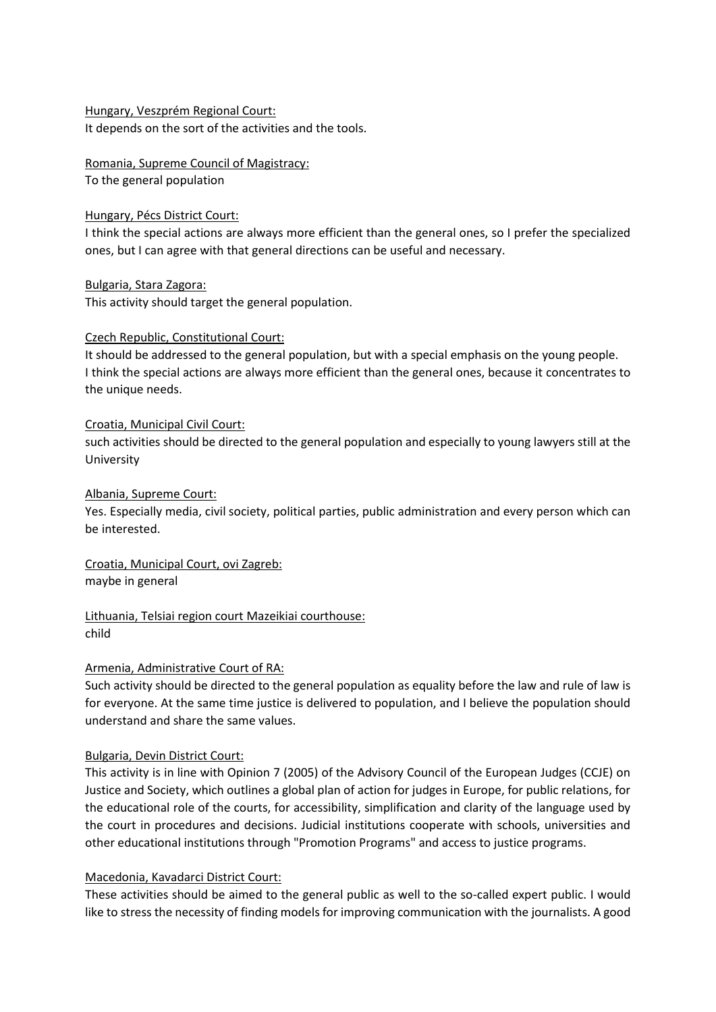#### Hungary, Veszprém Regional Court: It depends on the sort of the activities and the tools.

Romania, Supreme Council of Magistracy: To the general population

### Hungary, Pécs District Court:

I think the special actions are always more efficient than the general ones, so I prefer the specialized ones, but I can agree with that general directions can be useful and necessary.

Bulgaria, Stara Zagora: This activity should target the general population.

# Czech Republic, Constitutional Court:

It should be addressed to the general population, but with a special emphasis on the young people. I think the special actions are always more efficient than the general ones, because it concentrates to the unique needs.

### Croatia, Municipal Civil Court:

such activities should be directed to the general population and especially to young lawyers still at the University

# Albania, Supreme Court:

Yes. Especially media, civil society, political parties, public administration and every person which can be interested.

### Croatia, Municipal Court, ovi Zagreb: maybe in general

# Lithuania, Telsiai region court Mazeikiai courthouse: child

# Armenia, Administrative Court of RA:

Such activity should be directed to the general population as equality before the law and rule of law is for everyone. At the same time justice is delivered to population, and I believe the population should understand and share the same values.

# Bulgaria, Devin District Court:

This activity is in line with Opinion 7 (2005) of the Advisory Council of the European Judges (CCJE) on Justice and Society, which outlines a global plan of action for judges in Europe, for public relations, for the educational role of the courts, for accessibility, simplification and clarity of the language used by the court in procedures and decisions. Judicial institutions cooperate with schools, universities and other educational institutions through "Promotion Programs" and access to justice programs.

# Macedonia, Kavadarci District Court:

These activities should be aimed to the general public as well to the so-called expert public. I would like to stress the necessity of finding models for improving communication with the journalists. A good